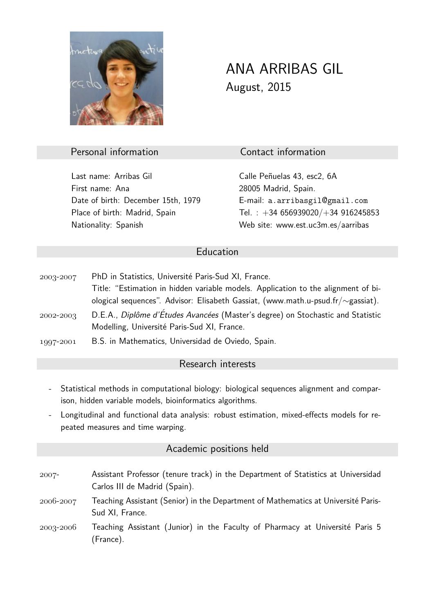

# ANA ARRIBAS GIL August, 2015

#### Personal information Contact information

Last name: Arribas Gil **Calle Penuelas 43, esc2, 6A** First name: Ana 28005 Madrid, Spain. Date of birth: December 15th, 1979 E-mail: a.arribasgil@gmail.com Nationality: Spanish Web site: www.est.uc3m.es/aarribas

Place of birth: Madrid, Spain Tel. : +34 656939020/+34 916245853

#### Education

2003-2007 PhD in Statistics, Université Paris-Sud XI, France. Title: "Estimation in hidden variable models. Application to the alignment of biological sequences". Advisor: Elisabeth Gassiat, (www.math.u-psud.fr/∼gassiat).  $-2002 - 2003$  D.E.A., *Diplôme d'Études Avancées* (Master's degree) on Stochastic and Statistic Modelling, Université Paris-Sud XI, France. 1997-2001 B.S. in Mathematics, Universidad de Oviedo, Spain.

# Research interests

- Statistical methods in computational biology: biological sequences alignment and comparison, hidden variable models, bioinformatics algorithms.
- Longitudinal and functional data analysis: robust estimation, mixed-effects models for repeated measures and time warping.

## Academic positions held

- 2007- Assistant Professor (tenure track) in the Department of Statistics at Universidad Carlos III de Madrid (Spain).
- $2006 2007$  Teaching Assistant (Senior) in the Department of Mathematics at Université Paris-Sud XI, France.
- $2003 2006$  Teaching Assistant (Junior) in the Faculty of Pharmacy at Université Paris 5 (France).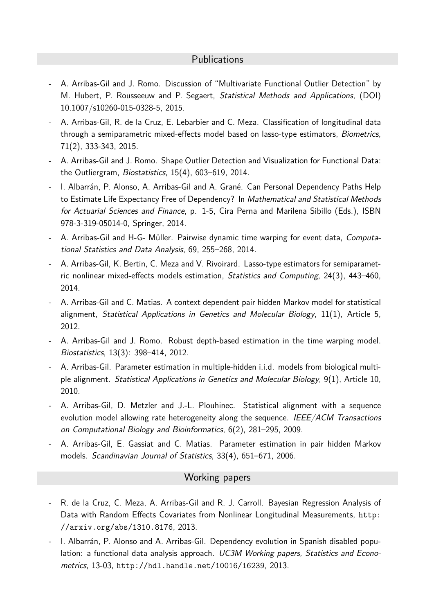## **Publications**

- A. Arribas-Gil and J. Romo. Discussion of "Multivariate Functional Outlier Detection" by M. Hubert, P. Rousseeuw and P. Segaert, Statistical Methods and Applications, (DOI) 10.1007/s10260-015-0328-5, 2015.
- A. Arribas-Gil, R. de la Cruz, E. Lebarbier and C. Meza. Classification of longitudinal data through a semiparametric mixed-effects model based on lasso-type estimators, Biometrics, 71(2), 333-343, 2015.
- A. Arribas-Gil and J. Romo. Shape Outlier Detection and Visualization for Functional Data: the Outliergram, Biostatistics, 15(4), 603–619, 2014.
- I. Albarrán, P. Alonso, A. Arribas-Gil and A. Grané. Can Personal Dependency Paths Help to Estimate Life Expectancy Free of Dependency? In Mathematical and Statistical Methods for Actuarial Sciences and Finance, p. 1-5, Cira Perna and Marilena Sibillo (Eds.), ISBN 978-3-319-05014-0, Springer, 2014.
- A. Arribas-Gil and H-G- Müller. Pairwise dynamic time warping for event data, Computational Statistics and Data Analysis, 69, 255–268, 2014.
- A. Arribas-Gil, K. Bertin, C. Meza and V. Rivoirard. Lasso-type estimators for semiparametric nonlinear mixed-effects models estimation, Statistics and Computing, 24(3), 443–460, 2014.
- A. Arribas-Gil and C. Matias. A context dependent pair hidden Markov model for statistical alignment, Statistical Applications in Genetics and Molecular Biology, 11(1), Article 5, 2012.
- A. Arribas-Gil and J. Romo. Robust depth-based estimation in the time warping model. Biostatistics, 13(3): 398–414, 2012.
- A. Arribas-Gil. Parameter estimation in multiple-hidden i.i.d. models from biological multiple alignment. Statistical Applications in Genetics and Molecular Biology, 9(1), Article 10, 2010.
- A. Arribas-Gil, D. Metzler and J.-L. Plouhinec. Statistical alignment with a sequence evolution model allowing rate heterogeneity along the sequence. IEEE/ACM Transactions on Computational Biology and Bioinformatics, 6(2), 281–295, 2009.
- A. Arribas-Gil, E. Gassiat and C. Matias. Parameter estimation in pair hidden Markov models. Scandinavian Journal of Statistics, 33(4), 651–671, 2006.

## Working papers

- R. de la Cruz, C. Meza, A. Arribas-Gil and R. J. Carroll. Bayesian Regression Analysis of Data with Random Effects Covariates from Nonlinear Longitudinal Measurements, http: //arxiv.org/abs/1310.8176, 2013.
- 1. Albarrán, P. Alonso and A. Arribas-Gil. Dependency evolution in Spanish disabled population: a functional data analysis approach. UC3M Working papers, Statistics and Econometrics, 13-03, http://hdl.handle.net/10016/16239, 2013.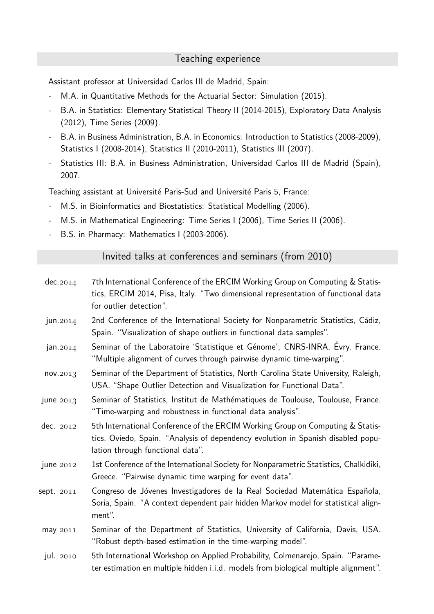#### Teaching experience

Assistant professor at Universidad Carlos III de Madrid, Spain:

- M.A. in Quantitative Methods for the Actuarial Sector: Simulation (2015).
- B.A. in Statistics: Elementary Statistical Theory II (2014-2015), Exploratory Data Analysis (2012), Time Series (2009).
- B.A. in Business Administration, B.A. in Economics: Introduction to Statistics (2008-2009), Statistics I (2008-2014), Statistics II (2010-2011), Statistics III (2007).
- Statistics III: B.A. in Business Administration, Universidad Carlos III de Madrid (Spain), 2007.

Teaching assistant at Université Paris-Sud and Université Paris 5, France:

- M.S. in Bioinformatics and Biostatistics: Statistical Modelling (2006).
- M.S. in Mathematical Engineering: Time Series I (2006), Time Series II (2006).
- B.S. in Pharmacy: Mathematics I (2003-2006).

Invited talks at conferences and seminars (from 2010)

- $dec. 2014$  7th International Conference of the ERCIM Working Group on Computing & Statistics, ERCIM 2014, Pisa, Italy. "Two dimensional representation of functional data for outlier detection".
- jun.  $2014$  2nd Conference of the International Society for Nonparametric Statistics, Cádiz, Spain. "Visualization of shape outliers in functional data samples".
- $jan. 2014$  Seminar of the Laboratoire 'Statistique et Génome', CNRS-INRA, Évry, France. "Multiple alignment of curves through pairwise dynamic time-warping".
- $nov. 2013$  Seminar of the Department of Statistics, North Carolina State University, Raleigh, USA. "Shape Outlier Detection and Visualization for Functional Data".
- june  $2013$  Seminar of Statistics, Institut de Mathématiques de Toulouse, Toulouse, France. "Time-warping and robustness in functional data analysis".
- dec.  $2012$  5th International Conference of the ERCIM Working Group on Computing & Statistics, Oviedo, Spain. "Analysis of dependency evolution in Spanish disabled population through functional data".
- june 2012 1st Conference of the International Society for Nonparametric Statistics, Chalkidiki, Greece. "Pairwise dynamic time warping for event data".
- sept. 2011 Congreso de Jóvenes Investigadores de la Real Sociedad Matemática Española, Soria, Spain. "A context dependent pair hidden Markov model for statistical alignment".
- $m$ ay  $2011$  Seminar of the Department of Statistics, University of California, Davis, USA. "Robust depth-based estimation in the time-warping model".
- jul. 2010 5th International Workshop on Applied Probability, Colmenarejo, Spain. "Parameter estimation en multiple hidden i.i.d. models from biological multiple alignment".